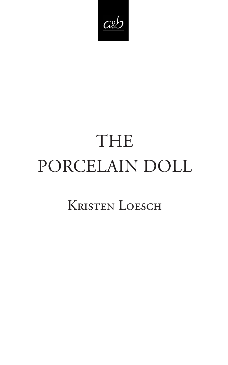$C\&$ 

# THE PORCELAIN DOLL

## Kristen Loesch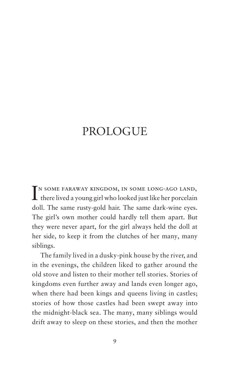## PROLOGUE

IN SOME FARAWAY KINGDOM, IN SOME LONG-AGO LAND, there lived a young girl who looked just like her porcelain n some faraway kingdom, in some long-ago land, doll. The same rusty-gold hair. The same dark-wine eyes. The girl's own mother could hardly tell them apart. But they were never apart, for the girl always held the doll at her side, to keep it from the clutches of her many, many siblings.

The family lived in a dusky-pink house by the river, and in the evenings, the children liked to gather around the old stove and listen to their mother tell stories. Stories of kingdoms even further away and lands even longer ago, when there had been kings and queens living in castles; stories of how those castles had been swept away into the midnight-black sea. The many, many siblings would drift away to sleep on these stories, and then the mother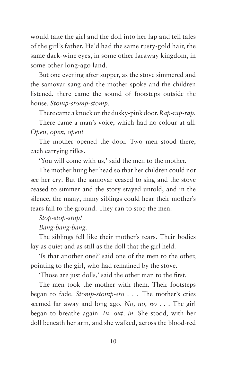would take the girl and the doll into her lap and tell tales of the girl's father. He'd had the same rusty-gold hair, the same dark-wine eyes, in some other faraway kingdom, in some other long-ago land.

But one evening after supper, as the stove simmered and the samovar sang and the mother spoke and the children listened, there came the sound of footsteps outside the house. *Stomp-stomp-stomp.*

There came a knock on the dusky-pink door. *Rap-rap-rap.*

There came a man's voice, which had no colour at all. *Open, open, open!*

The mother opened the door. Two men stood there, each carrying rifles.

'You will come with us,' said the men to the mother.

The mother hung her head so that her children could not see her cry. But the samovar ceased to sing and the stove ceased to simmer and the story stayed untold, and in the silence, the many, many siblings could hear their mother's tears fall to the ground. They ran to stop the men.

#### *Stop-stop-stop!*

#### *Bang-bang-bang.*

The siblings fell like their mother's tears. Their bodies lay as quiet and as still as the doll that the girl held.

'Is that another one?' said one of the men to the other, pointing to the girl, who had remained by the stove.

'Those are just dolls,' said the other man to the first.

The men took the mother with them. Their footsteps began to fade. *Stomp-stomp-sto . . .* The mother's cries seemed far away and long ago. *No, no, no . . .* The girl began to breathe again. *In, out, in.* She stood, with her doll beneath her arm, and she walked, across the blood-red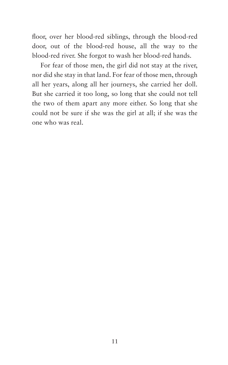floor, over her blood-red siblings, through the blood-red door, out of the blood-red house, all the way to the blood-red river. She forgot to wash her blood-red hands.

For fear of those men, the girl did not stay at the river, nor did she stay in that land. For fear of those men, through all her years, along all her journeys, she carried her doll. But she carried it too long, so long that she could not tell the two of them apart any more either. So long that she could not be sure if she was the girl at all; if she was the one who was real.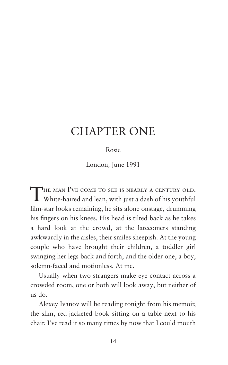### CHAPTER ONE

Rosie

London, June 1991

THE MAN I'VE COME TO SEE IS NEARLY A CENTURY OLD.<br>White-haired and lean, with just a dash of his youthful film-star looks remaining, he sits alone onstage, drumming his fingers on his knees. His head is tilted back as he takes a hard look at the crowd, at the latecomers standing awkwardly in the aisles, their smiles sheepish. At the young couple who have brought their children, a toddler girl swinging her legs back and forth, and the older one, a boy, solemn-faced and motionless. At me.

Usually when two strangers make eye contact across a crowded room, one or both will look away, but neither of us do.

Alexey Ivanov will be reading tonight from his memoir, the slim, red-jacketed book sitting on a table next to his chair. I've read it so many times by now that I could mouth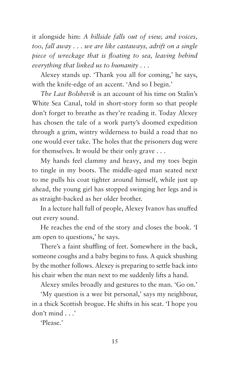it alongside him: *A hillside falls out of view, and voices, too, fall away . . . we are like castaways, adrift on a single piece of wreckage that is floating to sea, leaving behind everything that linked us to humanity . . .*

Alexey stands up. 'Thank you all for coming,' he says, with the knife-edge of an accent. 'And so I begin.'

*The Last Bolshevik* is an account of his time on Stalin's White Sea Canal, told in short-story form so that people don't forget to breathe as they're reading it. Today Alexey has chosen the tale of a work party's doomed expedition through a grim, wintry wilderness to build a road that no one would ever take. The holes that the prisoners dug were for themselves. It would be their only grave . . .

My hands feel clammy and heavy, and my toes begin to tingle in my boots. The middle-aged man seated next to me pulls his coat tighter around himself, while just up ahead, the young girl has stopped swinging her legs and is as straight-backed as her older brother.

In a lecture hall full of people, Alexey Ivanov has snuffed out every sound.

He reaches the end of the story and closes the book. 'I am open to questions,' he says.

There's a faint shuffling of feet. Somewhere in the back, someone coughs and a baby begins to fuss. A quick shushing by the mother follows. Alexey is preparing to settle back into his chair when the man next to me suddenly lifts a hand.

Alexey smiles broadly and gestures to the man. 'Go on.'

'My question is a wee bit personal,' says my neighbour, in a thick Scottish brogue. He shifts in his seat. 'I hope you don't mind . . .'

'Please.'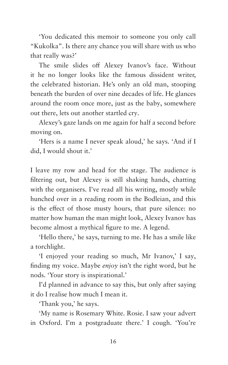'You dedicated this memoir to someone you only call "Kukolka". Is there any chance you will share with us who that really was?'

The smile slides off Alexey Ivanov's face. Without it he no longer looks like the famous dissident writer, the celebrated historian. He's only an old man, stooping beneath the burden of over nine decades of life. He glances around the room once more, just as the baby, somewhere out there, lets out another startled cry.

Alexey's gaze lands on me again for half a second before moving on.

'Hers is a name I never speak aloud,' he says. 'And if I did, I would shout it.'

I leave my row and head for the stage. The audience is filtering out, but Alexey is still shaking hands, chatting with the organisers. I've read all his writing, mostly while hunched over in a reading room in the Bodleian, and this is the effect of those musty hours, that pure silence: no matter how human the man might look, Alexey Ivanov has become almost a mythical figure to me. A legend.

'Hello there,' he says, turning to me. He has a smile like a torchlight.

'I enjoyed your reading so much, Mr Ivanov,' I say, finding my voice. Maybe *enjoy* isn't the right word, but he nods. 'Your story is inspirational.'

I'd planned in advance to say this, but only after saying it do I realise how much I mean it.

'Thank you,' he says.

'My name is Rosemary White. Rosie. I saw your advert in Oxford. I'm a postgraduate there.' I cough. 'You're